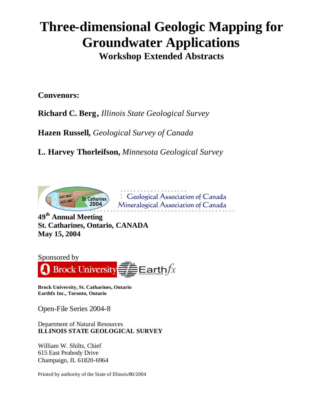## **Three-dimensional Geologic Mapping for Groundwater Applications Workshop Extended Abstracts**

**Convenors:** 

**Richard C. Berg,** *Illinois State Geological Survey*

**Hazen Russell,** *Geological Survey of Canada* 

**L. Harvey Thorleifson,** *Minnesota Geological Survey*



Ceological Association of Canada Mineralogical Association of Canada

**49th Annual Meeting St. Catharines, Ontario, CANADA May 15, 2004** 



**Brock University, St. Catharines, Ontario Earthfx Inc., Toronto, Ontario** 

Open-File Series 2004-8

Department of Natural Resources **ILLINOIS STATE GEOLOGICAL SURVEY**

William W. Shilts, Chief 615 East Peabody Drive Champaign, IL 61820-6964

Printed by authority of the State of Illinois/80/2004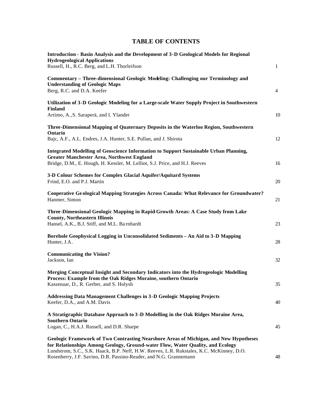## **TABLE OF CONTENTS**

| Introduction - Basin Analysis and the Development of 3-D Geological Models for Regional<br><b>Hydrogeological Applications</b><br>Russell, H., R.C. Berg, and L.H. Thorleifson                                                                                                                                                           | $\mathbf{1}$   |
|------------------------------------------------------------------------------------------------------------------------------------------------------------------------------------------------------------------------------------------------------------------------------------------------------------------------------------------|----------------|
| Commentary - Three-dimensional Geologic Modeling: Challenging our Terminology and<br><b>Understanding of Geologic Maps</b><br>Berg, R.C. and D.A. Keefer                                                                                                                                                                                 | $\overline{4}$ |
| Utilization of 3-D Geologic Modeling for a Large-scale Water Supply Project in Southwestern<br><b>Finland</b><br>Artimo, A., S. Saraperä, and I. Ylander                                                                                                                                                                                 | 10             |
| Three-Dimensional Mapping of Quaternary Deposits in the Waterloo Region, Southwestern<br>Ontario<br>Bajc, A.F., A.L. Endres, J.A. Hunter, S.E. Pullan, and J. Shirota                                                                                                                                                                    | 12             |
| <b>Integrated Modelling of Geoscience Information to Support Sustainable Urban Planning,</b><br><b>Greater Manchester Area, Northwest England</b><br>Bridge, D.M., E. Hough, H. Kessler, M. Lelliot, S.J. Price, and H.J. Reeves                                                                                                         | 16             |
| 3-D Colour Schemes for Complex Glacial Aquifer/Aquitard Systems<br>Frind, E.O. and P.J. Martin                                                                                                                                                                                                                                           | 20             |
| Cooperative Ge ological Mapping Strategies Across Canada: What Relevance for Groundwater?<br>Hanmer, Simon                                                                                                                                                                                                                               | 21             |
| Three-Dimensional Geologic Mapping in Rapid-Growth Areas: A Case Study from Lake<br><b>County, Northeastern Illinois</b><br>Hansel, A.K., B.J. Stiff, and M.L. Barnhardt                                                                                                                                                                 | 23             |
| Borehole Geophysical Logging in Unconsolidated Sediments - An Aid to 3-D Mapping<br>Hunter, J.A.                                                                                                                                                                                                                                         | 28             |
| <b>Communicating the Vision?</b><br>Jackson, Ian                                                                                                                                                                                                                                                                                         | 32             |
| Merging Conceptual Insight and Secondary Indicators into the Hydrogeologic Modelling<br>Process: Example from the Oak Ridges Moraine, southern Ontario<br>Kassenaar, D., R. Gerber, and S. Holysh                                                                                                                                        | 35             |
| <b>Addressing Data Management Challenges in 3-D Geologic Mapping Projects</b><br>Keefer, D.A., and A.M. Davis                                                                                                                                                                                                                            | 40             |
| A Stratigraphic Database Approach to 3-D Modelling in the Oak Ridges Moraine Area,<br><b>Southern Ontario</b>                                                                                                                                                                                                                            |                |
| Logan, C., H.A.J. Russell, and D.R. Sharpe                                                                                                                                                                                                                                                                                               | 45             |
| Geologic Framework of Two Contrasting Nearshore Areas of Michigan, and New Hypotheses<br>for Relationships Among Geology, Ground-water Flow, Water Quality, and Ecology<br>Lundstrom, S.C., S.K. Haack, B.P. Neff, H.W. Reeves, L.R. Rukstales, K.C. McKinney, D.O.<br>Rosenberry, J.F. Savino, D.R. Passino-Reader, and N.G. Grannemann | 48             |